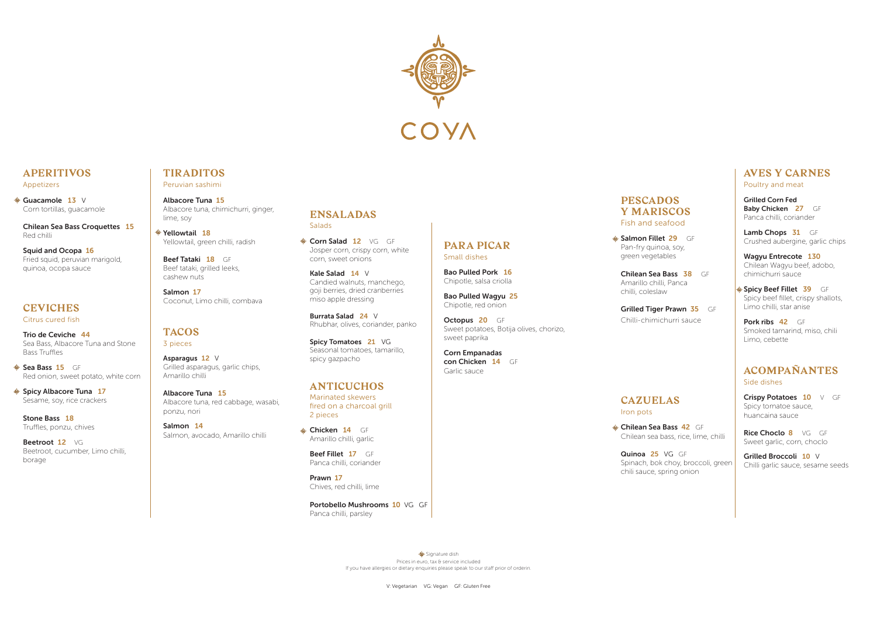

#### **APERITIVOS** Appetizers

**Suacamole 13** V Corn tortillas, guacamole

Chilean Sea Bass Croquettes 15 Red chilli

Squid and Ocopa 16 Fried squid, peruvian marigold, quinoa, ocopa sauce

Sea Bass 15 GF Red onion, sweet potato, white corn

## **CEVICHES**

♦ Spicy Albacore Tuna 17 Sesame, soy, rice crackers

Citrus cured fish

Beetroot 12 VG Beetroot, cucumber, Limo chilli, borage

Trio de Ceviche 44 Sea Bass, Albacore Tuna and Stone Bass Truffles

 $\textcircled{*}$  Yellowtail 18 Yellowtail, green chilli, radish

Beef Tataki 18 GF Beef tataki, grilled leeks, cashew nuts

Stone Bass 18 Truffles, ponzu, chives

### **PESCADOS Y MARISCOS** Fish and seafood Salmon Fillet 29 GF

#### **TIRADITOS** Peruvian sashimi

Albacore Tuna 15

Albacore tuna, chimichurri, ginger, lime, soy

Salmon 17 Coconut, Limo chilli, combava Lamb Chops 31 GF Crushed aubergine, garlic chips

#### **TACOS**

3 pieces

Asparagus 12 V Grilled asparagus, garlic chips, Amarillo chilli

Spicy Beef Fillet 39 GF Spicy beef fillet, crispy shallots, Limo chilli, star anise

Pork ribs 42 GF Smoked tamarind, miso, chili Limo, cebette

Albacore Tuna 15 Albacore tuna, red cabbage, wasabi, ponzu, nori

Crispy Potatoes 10 V GF Spicy tomatoe sauce, huancaina sauce

Salmon 14

Rice Choclo 8 VG GF Sweet garlic, corn, choclo

Salmon, avocado, Amarillo chilli

**ENSALADAS Salads** 

Corn Salad 12 VG GF Josper corn, crispy corn, white corn, sweet onions

Pan-fry quinoa, soy, green vegetables

Amarillo chilli, Panca chilli, coleslaw

Spicy Tomatoes 21 VG Seasonal tomatoes, tamarillo, spicy gazpacho

Chilli-chimichurri sauce

Chilean Sea Bass 38 GF

Grilled Tiger Prawn 35 GF

Chicken 14 GF Amarillo chilli, garlic

## **CAZUELAS** Iron pots

**Chilean Sea Bass 42 GF** 

Beef Fillet 17 GF Panca chilli, coriander Chilean sea bass, rice, lime, chilli

Portobello Mushrooms 10 VG GF Panca chilli, parsley

Quinoa 25 VG GF Spinach, bok choy, broccoli, green chili sauce, spring onion

Octopus 20 GF Sweet potatoes, Botija olives, chorizo, sweet paprika

#### **AVES Y CARNES** Poultry and meat

Grilled Corn Fed Baby Chicken 27 GF Panca chilli, coriander

Signature dish Prices in euro, tax & service included If you have allergies or dietary enquiries please speak to our staff prior of orderin. Wagyu Entrecote 130 Chilean Wagyu beef, adobo, chimichurri sauce

#### **ACOMPAÑANTES** Side dishes

Grilled Broccoli 10 V Chilli garlic sauce, sesame seeds

Kale Salad 14 V Candied walnuts, manchego, goji berries, dried cranberries miso apple dressing

Burrata Salad 24 V Rhubhar, olives, coriander, panko

## **ANTICUCHOS**

Marinated skewers fired on a charcoal grill 2 pieces

Prawn 17 Chives, red chilli, lime

#### **PARA PICAR** Small dishes

Bao Pulled Pork 16 Chipotle, salsa criolla

Bao Pulled Wagyu 25 Chipotle, red onion

Corn Empanadas con Chicken 14 GF Garlic sauce

V: Vegetarian VG: Vegan GF: Gluten Free